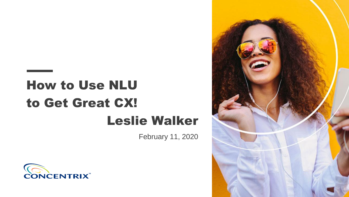# How to Use NLU to Get Great CX! Leslie Walker

February 11, 2020



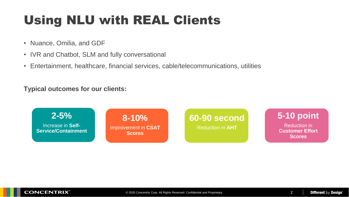### Using NLU with REAL Clients

- Nuance, Omilia, and GDF
- IVR and Chatbot, SLM and fully conversational
- Entertainment, healthcare, financial services, cable/telecommunications, utilities

#### **Typical outcomes for our clients:**

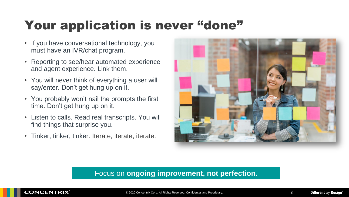## Your application is never "done"

- If you have conversational technology, you must have an IVR/chat program.
- Reporting to see/hear automated experience and agent experience. Link them.
- You will never think of everything a user will say/enter. Don't get hung up on it.
- You probably won't nail the prompts the first time. Don't get hung up on it.
- Listen to calls. Read real transcripts. You will find things that surprise you.
- Tinker, tinker, tinker. Iterate, iterate, iterate.



#### Focus on **ongoing improvement, not perfection.**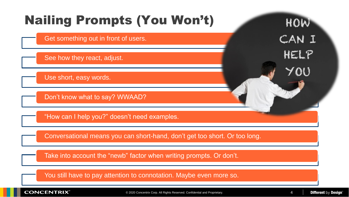

**CONCENTRIX®** 

© 2020 Concentrix Corp. All Rights Reserved. Confidential and Proprietary. 4

**Different by Design**<sup>®</sup>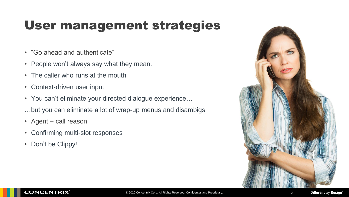### User management strategies

- "Go ahead and authenticate"
- People won't always say what they mean.
- The caller who runs at the mouth
- Context-driven user input
- You can't eliminate your directed dialogue experience…
- …but you can eliminate a lot of wrap-up menus and disambigs.
- Agent + call reason
- Confirming multi-slot responses
- Don't be Clippy!

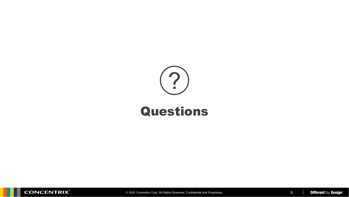

### Questions

**CONCENTRIX** 

© 2020 Concentrix Corp. All Rights Reserved. Confidential and Proprietary. 6

**Different by Design<sup>®</sup>**